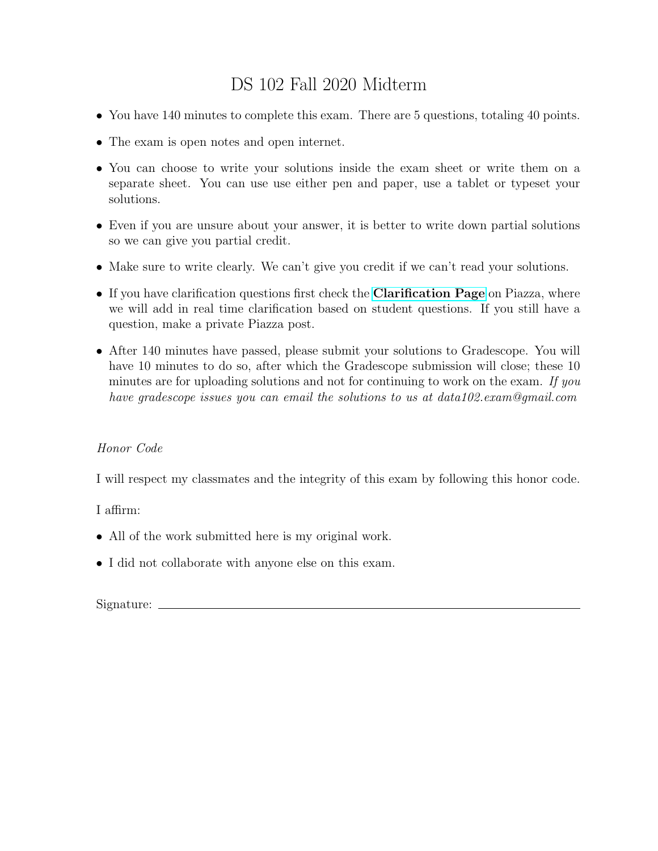# DS 102 Fall 2020 Midterm

- You have 140 minutes to complete this exam. There are 5 questions, totaling 40 points.
- The exam is open notes and open internet.
- You can choose to write your solutions inside the exam sheet or write them on a separate sheet. You can use use either pen and paper, use a tablet or typeset your solutions.
- Even if you are unsure about your answer, it is better to write down partial solutions so we can give you partial credit.
- Make sure to write clearly. We can't give you credit if we can't read your solutions.
- If you have clarification questions first check the **[Clarification Page](https://docs.google.com/document/d/1YbEbFkEpYhi1SHHnkuTKuj3kJsBHKiJT1xoYJb0GhBg/edit?usp=sharing)** on Piazza, where we will add in real time clarification based on student questions. If you still have a question, make a private Piazza post.
- After 140 minutes have passed, please submit your solutions to Gradescope. You will have 10 minutes to do so, after which the Gradescope submission will close; these 10 minutes are for uploading solutions and not for continuing to work on the exam. If you have gradescope issues you can email the solutions to us at data102.exam@gmail.com

## Honor Code

I will respect my classmates and the integrity of this exam by following this honor code.

I affirm:

- All of the work submitted here is my original work.
- I did not collaborate with anyone else on this exam.

Signature: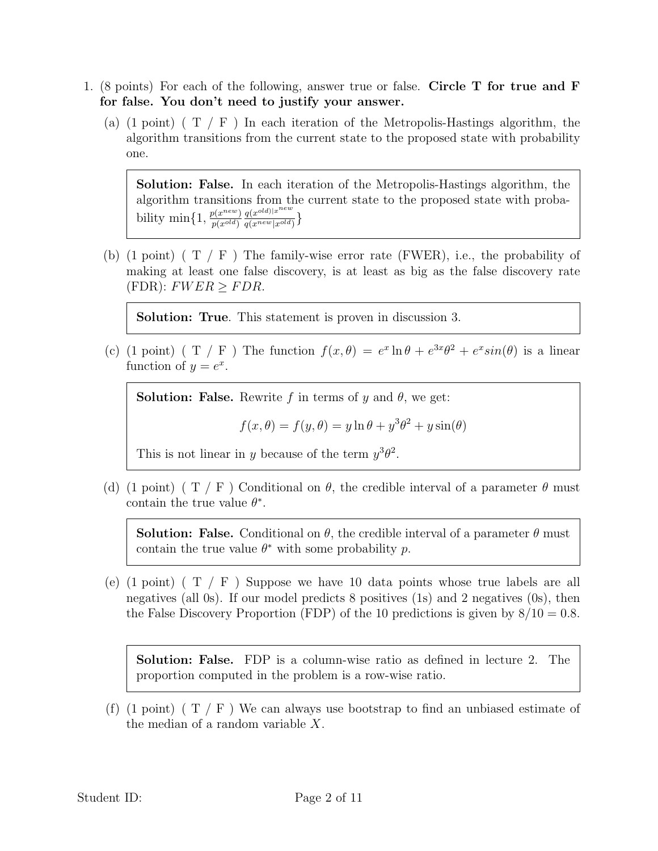- 1. (8 points) For each of the following, answer true or false. Circle T for true and F for false. You don't need to justify your answer.
	- (a) (1 point) ( $T / F$ ) In each iteration of the Metropolis-Hastings algorithm, the algorithm transitions from the current state to the proposed state with probability one.

Solution: False. In each iteration of the Metropolis-Hastings algorithm, the algorithm transitions from the current state to the proposed state with probability min $\{1, \frac{p(x^{new})}{p(x^{old})}\}$  $p(x^{old})$  $q(x^{old})|x^{new}$  $\frac{q(x^{\text{new}}) | x}{q(x^{\text{new}} | x^{\text{old}})}\}$ 

(b) (1 point) ( $T / F$ ) The family-wise error rate (FWER), i.e., the probability of making at least one false discovery, is at least as big as the false discovery rate  $(FDR): FWER > FDR.$ 

Solution: True. This statement is proven in discussion 3.

(c) (1 point) (T / F) The function  $f(x, \theta) = e^x \ln \theta + e^{3x} \theta^2 + e^x \sin(\theta)$  is a linear function of  $y = e^x$ .

**Solution: False.** Rewrite f in terms of y and  $\theta$ , we get:

$$
f(x, \theta) = f(y, \theta) = y \ln \theta + y^3 \theta^2 + y \sin(\theta)
$$

This is not linear in y because of the term  $y^3\theta^2$ .

(d) (1 point) ( T / F) Conditional on  $\theta$ , the credible interval of a parameter  $\theta$  must contain the true value  $\theta^*$ .

**Solution: False.** Conditional on  $\theta$ , the credible interval of a parameter  $\theta$  must contain the true value  $\theta^*$  with some probability p.

(e)  $(1 \text{ point})$   $(T / F)$  Suppose we have 10 data points whose true labels are all negatives (all 0s). If our model predicts 8 positives (1s) and 2 negatives (0s), then the False Discovery Proportion (FDP) of the 10 predictions is given by  $8/10 = 0.8$ .

Solution: False. FDP is a column-wise ratio as defined in lecture 2. The proportion computed in the problem is a row-wise ratio.

(f) (1 point) ( $T / F$ ) We can always use bootstrap to find an unbiased estimate of the median of a random variable  $X$ .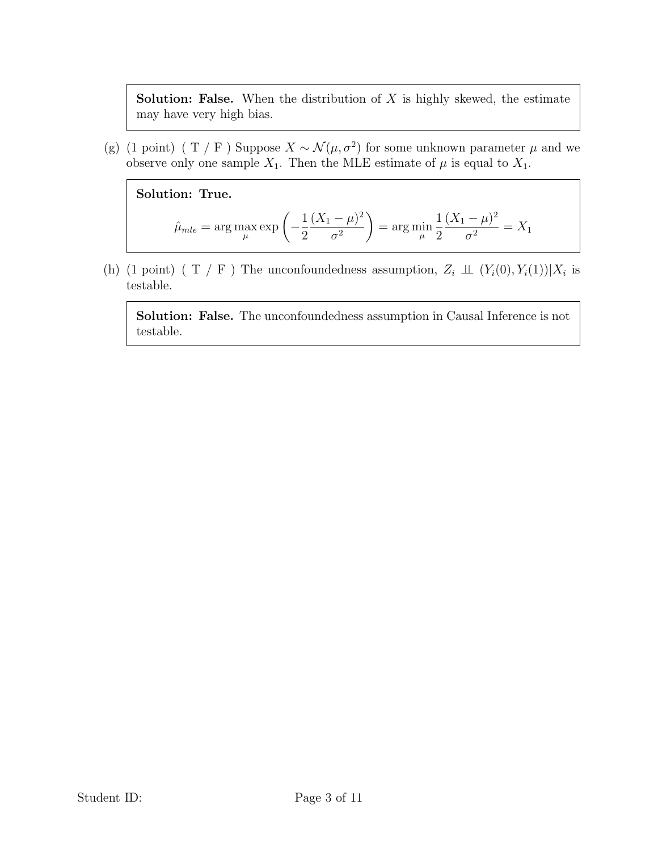**Solution: False.** When the distribution of  $X$  is highly skewed, the estimate may have very high bias.

(g) (1 point) ( T / F) Suppose  $X \sim \mathcal{N}(\mu, \sigma^2)$  for some unknown parameter  $\mu$  and we observe only one sample  $X_1$ . Then the MLE estimate of  $\mu$  is equal to  $X_1$ .

Solution: True.

$$
\hat{\mu}_{mle} = \arg \max_{\mu} \exp \left( -\frac{1}{2} \frac{(X_1 - \mu)^2}{\sigma^2} \right) = \arg \min_{\mu} \frac{1}{2} \frac{(X_1 - \mu)^2}{\sigma^2} = X_1
$$

(h) (1 point) ( T / F) The unconfoundedness assumption,  $Z_i \perp\!\!\!\perp (Y_i(0), Y_i(1)) | X_i$  is testable.

Solution: False. The unconfoundedness assumption in Causal Inference is not testable.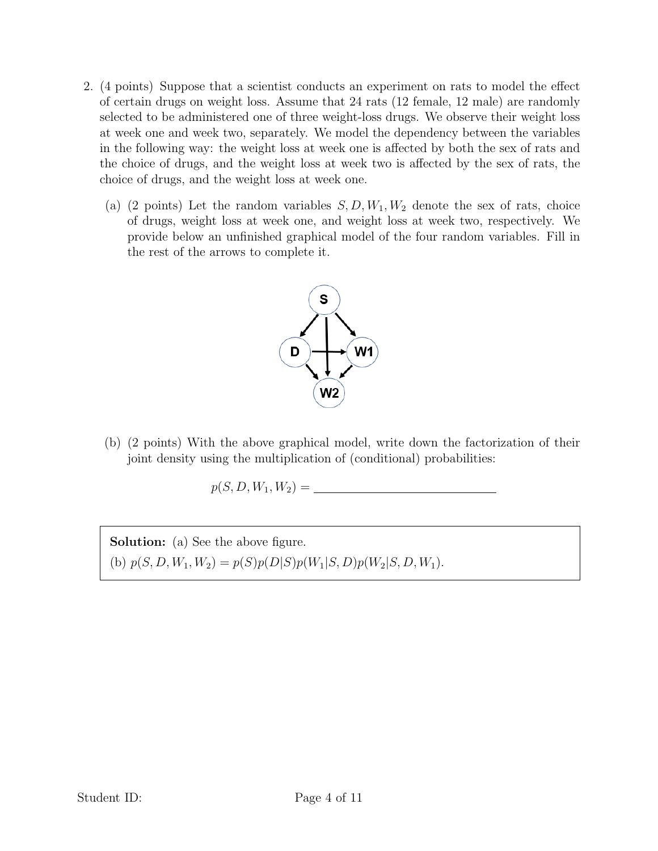- 2. (4 points) Suppose that a scientist conducts an experiment on rats to model the effect of certain drugs on weight loss. Assume that 24 rats (12 female, 12 male) are randomly selected to be administered one of three weight-loss drugs. We observe their weight loss at week one and week two, separately. We model the dependency between the variables in the following way: the weight loss at week one is affected by both the sex of rats and the choice of drugs, and the weight loss at week two is affected by the sex of rats, the choice of drugs, and the weight loss at week one.
	- (a) (2 points) Let the random variables  $S, D, W_1, W_2$  denote the sex of rats, choice of drugs, weight loss at week one, and weight loss at week two, respectively. We provide below an unfinished graphical model of the four random variables. Fill in the rest of the arrows to complete it.



(b) (2 points) With the above graphical model, write down the factorization of their joint density using the multiplication of (conditional) probabilities:

$$
p(S, D, W_1, W_2) =
$$

Solution: (a) See the above figure. (b)  $p(S, D, W_1, W_2) = p(S)p(D|S)p(W_1|S, D)p(W_2|S, D, W_1).$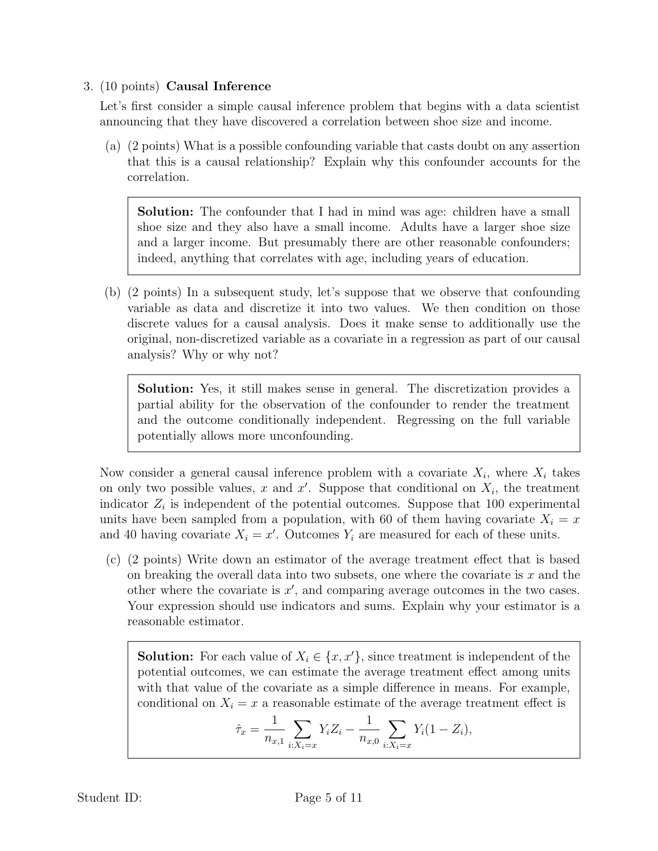# 3. (10 points) Causal Inference

Let's first consider a simple causal inference problem that begins with a data scientist announcing that they have discovered a correlation between shoe size and income.

(a) (2 points) What is a possible confounding variable that casts doubt on any assertion that this is a causal relationship? Explain why this confounder accounts for the correlation.

**Solution:** The confounder that I had in mind was age: children have a small shoe size and they also have a small income. Adults have a larger shoe size and a larger income. But presumably there are other reasonable confounders; indeed, anything that correlates with age, including years of education.

(b) (2 points) In a subsequent study, let's suppose that we observe that confounding variable as data and discretize it into two values. We then condition on those discrete values for a causal analysis. Does it make sense to additionally use the original, non-discretized variable as a covariate in a regression as part of our causal analysis? Why or why not?

Solution: Yes, it still makes sense in general. The discretization provides a partial ability for the observation of the confounder to render the treatment and the outcome conditionally independent. Regressing on the full variable potentially allows more unconfounding.

Now consider a general causal inference problem with a covariate  $X_i$ , where  $X_i$  takes on only two possible values, x and  $x'$ . Suppose that conditional on  $X_i$ , the treatment indicator  $Z_i$  is independent of the potential outcomes. Suppose that 100 experimental units have been sampled from a population, with 60 of them having covariate  $X_i = x$ and 40 having covariate  $X_i = x'$ . Outcomes  $Y_i$  are measured for each of these units.

(c) (2 points) Write down an estimator of the average treatment effect that is based on breaking the overall data into two subsets, one where the covariate is  $x$  and the other where the covariate is  $x'$ , and comparing average outcomes in the two cases. Your expression should use indicators and sums. Explain why your estimator is a reasonable estimator.

**Solution:** For each value of  $X_i \in \{x, x'\}$ , since treatment is independent of the potential outcomes, we can estimate the average treatment effect among units with that value of the covariate as a simple difference in means. For example, conditional on  $X_i = x$  a reasonable estimate of the average treatment effect is

$$
\hat{\tau}_x = \frac{1}{n_{x,1}} \sum_{i:X_i=x} Y_i Z_i - \frac{1}{n_{x,0}} \sum_{i:X_i=x} Y_i (1 - Z_i),
$$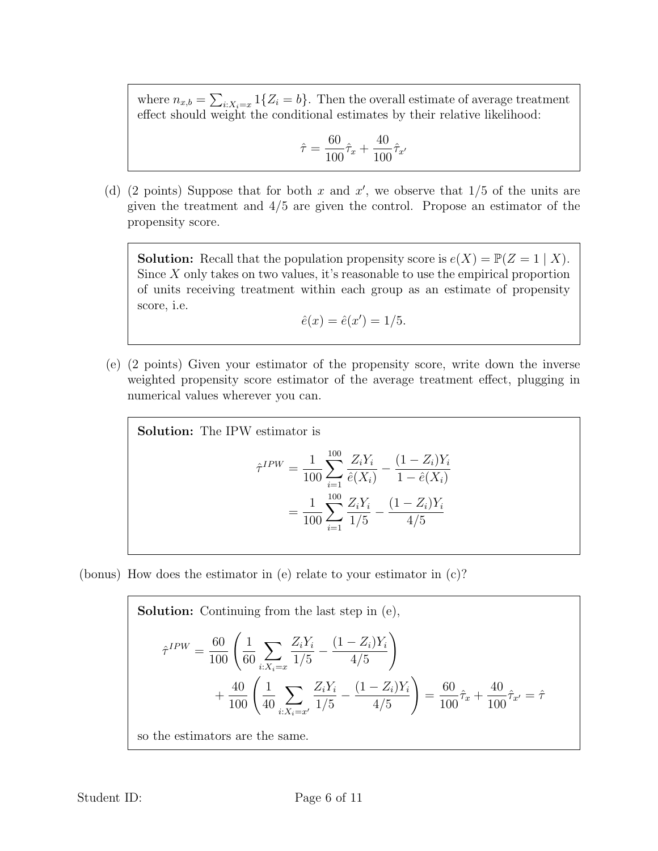where  $n_{x,b} = \sum_{i:X_i=x} 1\{Z_i = b\}$ . Then the overall estimate of average treatment effect should weight the conditional estimates by their relative likelihood:

$$
\hat{\tau} = \frac{60}{100}\hat{\tau}_x + \frac{40}{100}\hat{\tau}_{x'}
$$

(d) (2 points) Suppose that for both x and  $x'$ , we observe that  $1/5$  of the units are given the treatment and 4/5 are given the control. Propose an estimator of the propensity score.

**Solution:** Recall that the population propensity score is  $e(X) = \mathbb{P}(Z = 1 | X)$ . Since  $X$  only takes on two values, it's reasonable to use the empirical proportion of units receiving treatment within each group as an estimate of propensity score, i.e.

$$
\hat{e}(x) = \hat{e}(x') = 1/5.
$$

(e) (2 points) Given your estimator of the propensity score, write down the inverse weighted propensity score estimator of the average treatment effect, plugging in numerical values wherever you can.

Solution: The IPW estimator is

$$
\hat{\tau}^{IPW} = \frac{1}{100} \sum_{i=1}^{100} \frac{Z_i Y_i}{\hat{e}(X_i)} - \frac{(1 - Z_i)Y_i}{1 - \hat{e}(X_i)}
$$

$$
= \frac{1}{100} \sum_{i=1}^{100} \frac{Z_i Y_i}{1/5} - \frac{(1 - Z_i)Y_i}{4/5}
$$

(bonus) How does the estimator in (e) relate to your estimator in (c)?

Solution: Continuing from the last step in (e),  
\n
$$
\hat{\tau}^{IPW} = \frac{60}{100} \left( \frac{1}{60} \sum_{i:X_i=x} \frac{Z_i Y_i}{1/5} - \frac{(1-Z_i)Y_i}{4/5} \right)
$$
\n
$$
+ \frac{40}{100} \left( \frac{1}{40} \sum_{i:X_i=x'} \frac{Z_i Y_i}{1/5} - \frac{(1-Z_i)Y_i}{4/5} \right) = \frac{60}{100} \hat{\tau}_x + \frac{40}{100} \hat{\tau}_{x'} = \hat{\tau}
$$
\nso the estimators are the same

so the estimators are the same.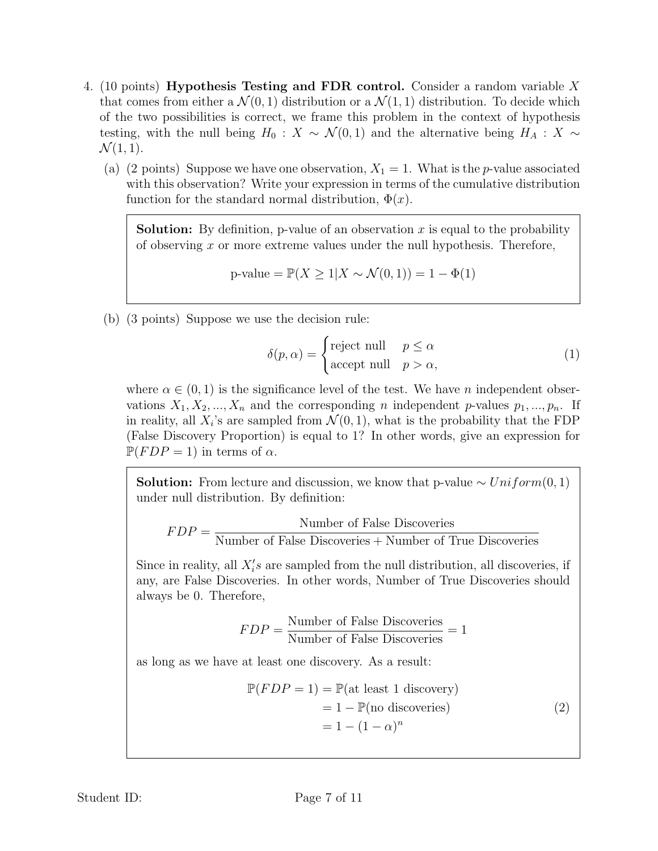- 4. (10 points) Hypothesis Testing and FDR control. Consider a random variable X that comes from either a  $\mathcal{N}(0,1)$  distribution or a  $\mathcal{N}(1,1)$  distribution. To decide which of the two possibilities is correct, we frame this problem in the context of hypothesis testing, with the null being  $H_0 : X \sim \mathcal{N}(0,1)$  and the alternative being  $H_A : X \sim$  $\mathcal{N}(1, 1).$ 
	- (a) (2 points) Suppose we have one observation,  $X_1 = 1$ . What is the p-value associated with this observation? Write your expression in terms of the cumulative distribution function for the standard normal distribution,  $\Phi(x)$ .

**Solution:** By definition, p-value of an observation x is equal to the probability of observing x or more extreme values under the null hypothesis. Therefore,

p-value = 
$$
\mathbb{P}(X \ge 1 | X \sim \mathcal{N}(0, 1)) = 1 - \Phi(1)
$$

(b) (3 points) Suppose we use the decision rule:

$$
\delta(p,\alpha) = \begin{cases}\n\text{reject null} & p \le \alpha \\
\text{accept null} & p > \alpha,\n\end{cases}
$$
\n(1)

where  $\alpha \in (0,1)$  is the significance level of the test. We have *n* independent observations  $X_1, X_2, ..., X_n$  and the corresponding n independent p-values  $p_1, ..., p_n$ . If in reality, all  $X_i$ 's are sampled from  $\mathcal{N}(0,1)$ , what is the probability that the FDP (False Discovery Proportion) is equal to 1? In other words, give an expression for  $\mathbb{P}(FDP = 1)$  in terms of  $\alpha$ .

**Solution:** From lecture and discussion, we know that p-value  $\sim Uniform(0, 1)$ under null distribution. By definition:

$$
FDP = \frac{\text{Number of False Discoversies}}{\text{Number of False Discoversies} + \text{Number of True Discoversies}}
$$

Since in reality, all  $X_i$ 's are sampled from the null distribution, all discoveries, if any, are False Discoveries. In other words, Number of True Discoveries should always be 0. Therefore,

$$
FDP = \frac{\text{Number of False Discoversies}}{\text{Number of False Discoversies}} = 1
$$

as long as we have at least one discovery. As a result:

$$
\mathbb{P}(FDP = 1) = \mathbb{P}(\text{at least 1 discovery})
$$
  
= 1 -  $\mathbb{P}(\text{no discoveries})$   
= 1 - (1 -  $\alpha$ )<sup>n</sup> (2)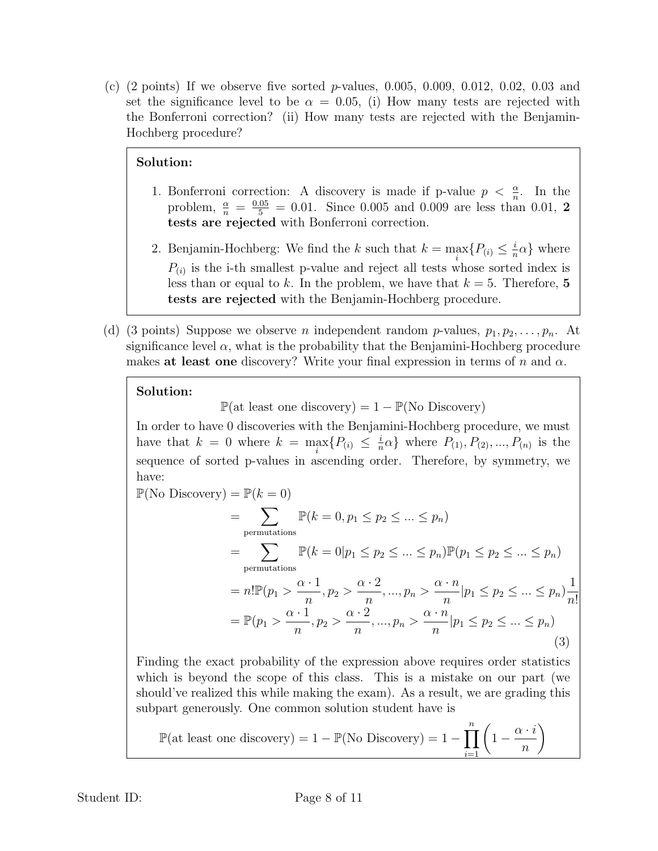(c)  $(2 \text{ points})$  If we observe five sorted p-values, 0.005, 0.009, 0.012, 0.02, 0.03 and set the significance level to be  $\alpha = 0.05$ , (i) How many tests are rejected with the Bonferroni correction? (ii) How many tests are rejected with the Benjamin-Hochberg procedure?

### Solution:

- 1. Bonferroni correction: A discovery is made if p-value  $p < \frac{\alpha}{n}$ . In the problem,  $\frac{\alpha}{n} = \frac{0.05}{5} = 0.01$ . Since 0.005 and 0.009 are less than 0.01, 2 tests are rejected with Bonferroni correction.
- 2. Benjamin-Hochberg: We find the k such that  $k = \max_i \{P(i) \leq \frac{i}{n}\}$  $\frac{i}{n}\alpha\}$  where  $P_{(i)}$  is the i-th smallest p-value and reject all tests whose sorted index is less than or equal to k. In the problem, we have that  $k = 5$ . Therefore, 5 tests are rejected with the Benjamin-Hochberg procedure.
- (d) (3 points) Suppose we observe *n* independent random *p*-values,  $p_1, p_2, \ldots, p_n$ . At significance level  $\alpha$ , what is the probability that the Benjamini-Hochberg procedure makes at least one discovery? Write your final expression in terms of n and  $\alpha$ .

#### Solution:

 $\mathbb{P}(\text{at least one discovery}) = 1 - \mathbb{P}(\text{No Discovery})$ 

In order to have 0 discoveries with the Benjamini-Hochberg procedure, we must have that  $k = 0$  where  $k = \max_i \{P_{(i)} \leq \frac{i}{n}\}$  $\frac{i}{n}\alpha$ } where  $P_{(1)}$ ,  $P_{(2)}$ , ...,  $P_{(n)}$  is the sequence of sorted p-values in ascending order. Therefore, by symmetry, we have:

<span id="page-7-0"></span>
$$
\mathbb{P}(\text{No Discovery}) = \mathbb{P}(k = 0)
$$
\n
$$
= \sum_{\text{permutations}} \mathbb{P}(k = 0, p_1 \le p_2 \le \dots \le p_n)
$$
\n
$$
= \sum_{\text{permutations}} \mathbb{P}(k = 0 | p_1 \le p_2 \le \dots \le p_n) \mathbb{P}(p_1 \le p_2 \le \dots \le p_n)
$$
\n
$$
= n! \mathbb{P}(p_1 > \frac{\alpha \cdot 1}{n}, p_2 > \frac{\alpha \cdot 2}{n}, \dots, p_n > \frac{\alpha \cdot n}{n} | p_1 \le p_2 \le \dots \le p_n) \frac{1}{n!}
$$
\n
$$
= \mathbb{P}(p_1 > \frac{\alpha \cdot 1}{n}, p_2 > \frac{\alpha \cdot 2}{n}, \dots, p_n > \frac{\alpha \cdot n}{n} | p_1 \le p_2 \le \dots \le p_n)
$$
\n(3)

Finding the exact probability of the expression above requires order statistics which is beyond the scope of this class. This is a mistake on our part (we should've realized this while making the exam). As a result, we are grading this subpart generously. One common solution student have is

$$
\mathbb{P}(\text{at least one discovery}) = 1 - \mathbb{P}(\text{No Discovery}) = 1 - \prod_{i=1}^{n} \left(1 - \frac{\alpha \cdot i}{n}\right)
$$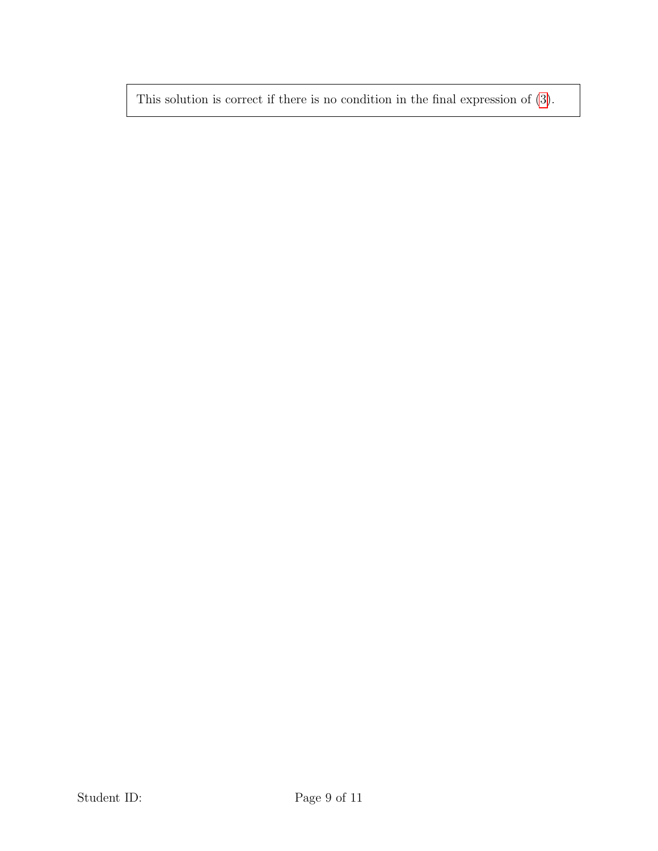This solution is correct if there is no condition in the final expression of [\(3\)](#page-7-0).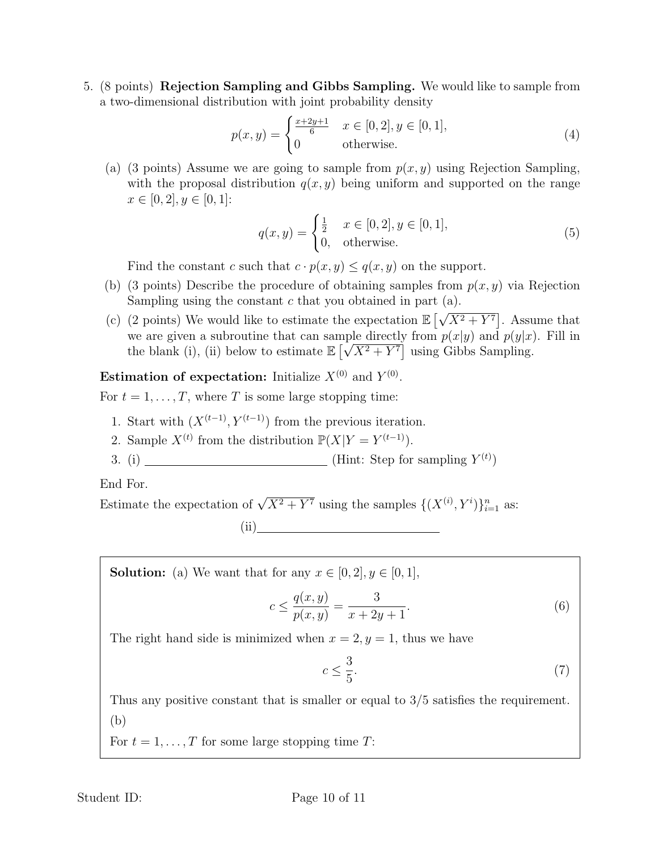5. (8 points) Rejection Sampling and Gibbs Sampling. We would like to sample from a two-dimensional distribution with joint probability density

$$
p(x,y) = \begin{cases} \frac{x+2y+1}{6} & x \in [0,2], y \in [0,1],\\ 0 & \text{otherwise.} \end{cases}
$$
 (4)

(a) (3 points) Assume we are going to sample from  $p(x, y)$  using Rejection Sampling, with the proposal distribution  $q(x, y)$  being uniform and supported on the range  $x \in [0, 2], y \in [0, 1]$ :

$$
q(x,y) = \begin{cases} \frac{1}{2} & x \in [0,2], y \in [0,1], \\ 0, & \text{otherwise.} \end{cases}
$$
 (5)

Find the constant c such that  $c \cdot p(x, y) \leq q(x, y)$  on the support.

- (b) (3 points) Describe the procedure of obtaining samples from  $p(x, y)$  via Rejection Sampling using the constant  $c$  that you obtained in part (a). √
- (c) (2 points) We would like to estimate the expectation  $\mathbb{E}\left[$  $X^2 + Y^7$ . Assume that we are given a subroutine that can sample directly from  $p(x|y)$  and  $p(y|x)$ . Fill in the blank (i), (ii) below to estimate  $\mathbb{E} \left[ \sqrt{X^2 + Y^7} \right]$  using Gibbs Sampling.

**Estimation of expectation:** Initialize  $X^{(0)}$  and  $Y^{(0)}$ .

For  $t = 1, \ldots, T$ , where T is some large stopping time:

- 1. Start with  $(X^{(t-1)}, Y^{(t-1)})$  from the previous iteration.
- 2. Sample  $X^{(t)}$  from the distribution  $\mathbb{P}(X|Y=Y^{(t-1)})$ .
- 3. (i) \_\_\_\_\_\_\_\_\_\_\_\_\_\_\_\_\_\_\_\_\_\_\_\_\_\_\_\_\_\_\_\_\_(Hint: Step for sampling  $Y^{(t)}$ )

End For.

Estimate the expectation of  $\sqrt{X^2 + Y^7}$  using the samples  $\{(X^{(i)}, Y^i)\}_{i=1}^n$  as:

(ii)

**Solution:** (a) We want that for any  $x \in [0, 2], y \in [0, 1]$ ,

$$
c \le \frac{q(x,y)}{p(x,y)} = \frac{3}{x+2y+1}.\tag{6}
$$

The right hand side is minimized when  $x = 2, y = 1$ , thus we have

$$
\leq \frac{3}{5}.\tag{7}
$$

Thus any positive constant that is smaller or equal to 3/5 satisfies the requirement. (b)

 $\overline{c}$ 

For  $t = 1, \ldots, T$  for some large stopping time T: